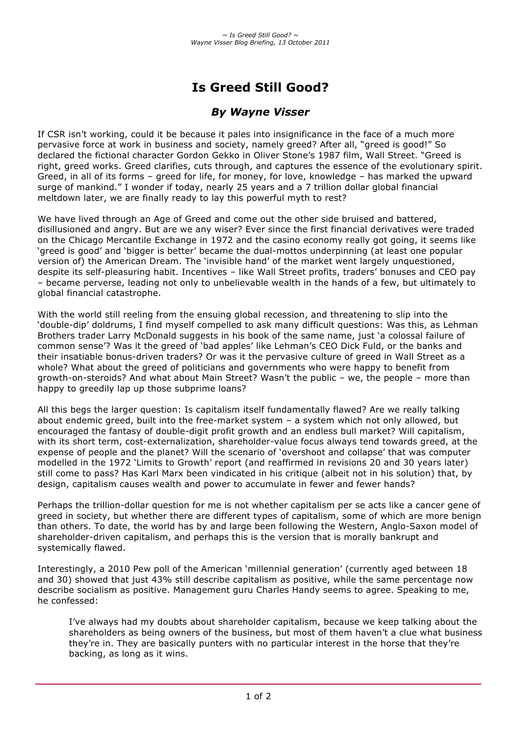# **Is Greed Still Good?**

## *By Wayne Visser*

If CSR isn't working, could it be because it pales into insignificance in the face of a much more pervasive force at work in business and society, namely greed? After all, "greed is good!" So declared the fictional character Gordon Gekko in Oliver Stone's 1987 film, Wall Street. "Greed is right, greed works. Greed clarifies, cuts through, and captures the essence of the evolutionary spirit. Greed, in all of its forms – greed for life, for money, for love, knowledge – has marked the upward surge of mankind." I wonder if today, nearly 25 years and a 7 trillion dollar global financial meltdown later, we are finally ready to lay this powerful myth to rest?

We have lived through an Age of Greed and come out the other side bruised and battered, disillusioned and angry. But are we any wiser? Ever since the first financial derivatives were traded on the Chicago Mercantile Exchange in 1972 and the casino economy really got going, it seems like 'greed is good' and 'bigger is better' became the dual-mottos underpinning (at least one popular version of) the American Dream. The 'invisible hand' of the market went largely unquestioned, despite its self-pleasuring habit. Incentives – like Wall Street profits, traders' bonuses and CEO pay – became perverse, leading not only to unbelievable wealth in the hands of a few, but ultimately to global financial catastrophe.

With the world still reeling from the ensuing global recession, and threatening to slip into the 'double-dip' doldrums, I find myself compelled to ask many difficult questions: Was this, as Lehman Brothers trader Larry McDonald suggests in his book of the same name, just 'a colossal failure of common sense'? Was it the greed of 'bad apples' like Lehman's CEO Dick Fuld, or the banks and their insatiable bonus-driven traders? Or was it the pervasive culture of greed in Wall Street as a whole? What about the greed of politicians and governments who were happy to benefit from growth-on-steroids? And what about Main Street? Wasn't the public – we, the people – more than happy to greedily lap up those subprime loans?

All this begs the larger question: Is capitalism itself fundamentally flawed? Are we really talking about endemic greed, built into the free-market system – a system which not only allowed, but encouraged the fantasy of double-digit profit growth and an endless bull market? Will capitalism, with its short term, cost-externalization, shareholder-value focus always tend towards greed, at the expense of people and the planet? Will the scenario of 'overshoot and collapse' that was computer modelled in the 1972 'Limits to Growth' report (and reaffirmed in revisions 20 and 30 years later) still come to pass? Has Karl Marx been vindicated in his critique (albeit not in his solution) that, by design, capitalism causes wealth and power to accumulate in fewer and fewer hands?

Perhaps the trillion-dollar question for me is not whether capitalism per se acts like a cancer gene of greed in society, but whether there are different types of capitalism, some of which are more benign than others. To date, the world has by and large been following the Western, Anglo-Saxon model of shareholder-driven capitalism, and perhaps this is the version that is morally bankrupt and systemically flawed.

Interestingly, a 2010 Pew poll of the American 'millennial generation' (currently aged between 18 and 30) showed that just 43% still describe capitalism as positive, while the same percentage now describe socialism as positive. Management guru Charles Handy seems to agree. Speaking to me, he confessed:

I've always had my doubts about shareholder capitalism, because we keep talking about the shareholders as being owners of the business, but most of them haven't a clue what business they're in. They are basically punters with no particular interest in the horse that they're backing, as long as it wins.